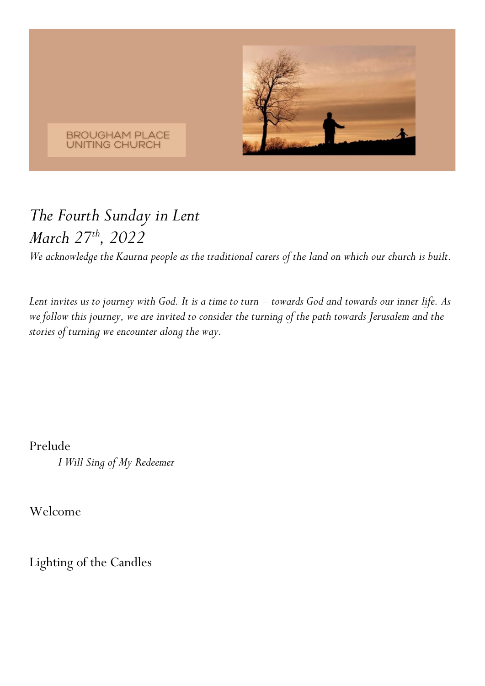

# *The Fourth Sunday in Lent March 27th , 2022*

*We acknowledge the Kaurna people as the traditional carers of the land on which our church is built.*

Lent invites us to journey with God. It is a time to turn – towards God and towards our inner life. As *we follow this journey, we are invited to consider the turning of the path towards Jerusalem and the stories of turning we encounter along the way.*

Prelude *I Will Sing of My Redeemer*

Welcome

Lighting of the Candles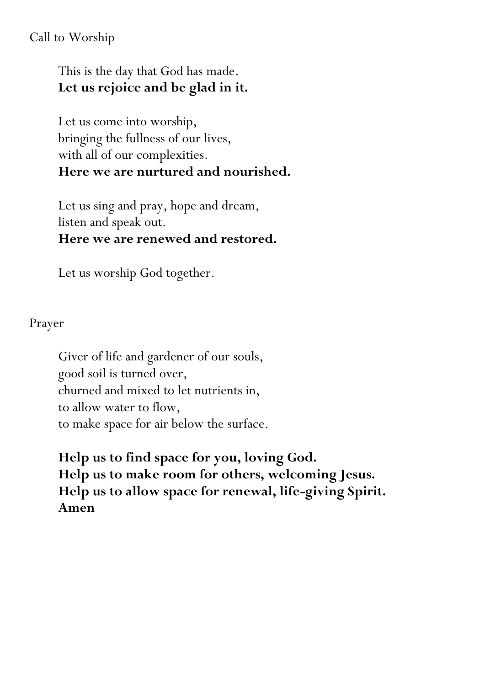## Call to Worship

# This is the day that God has made. **Let us rejoice and be glad in it.**

Let us come into worship, bringing the fullness of our lives, with all of our complexities. **Here we are nurtured and nourished.** 

Let us sing and pray, hope and dream, listen and speak out. **Here we are renewed and restored.** 

Let us worship God together.

#### Prayer

Giver of life and gardener of our souls, good soil is turned over, churned and mixed to let nutrients in, to allow water to flow, to make space for air below the surface.

**Help us to find space for you, loving God. Help us to make room for others, welcoming Jesus. Help us to allow space for renewal, life-giving Spirit. Amen**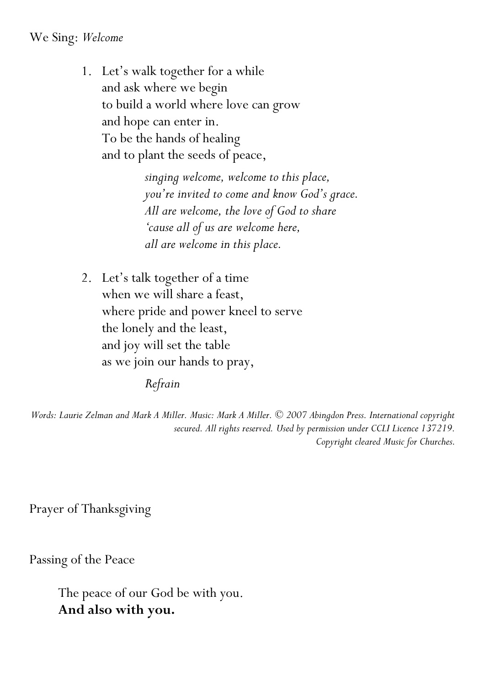We Sing: *Welcome*

1. Let's walk together for a while and ask where we begin to build a world where love can grow and hope can enter in. To be the hands of healing and to plant the seeds of peace,

> *singing welcome, welcome to this place, you're invited to come and know God's grace. All are welcome, the love of God to share 'cause all of us are welcome here, all are welcome in this place.*

2. Let's talk together of a time when we will share a feast, where pride and power kneel to serve the lonely and the least, and joy will set the table as we join our hands to pray,

*Refrain*

*Words: Laurie Zelman and Mark A Miller. Music: Mark A Miller. © 2007 Abingdon Press. International copyright secured. All rights reserved. Used by permission under CCLI Licence 137219. Copyright cleared Music for Churches.*

Prayer of Thanksgiving

Passing of the Peace

The peace of our God be with you. **And also with you.**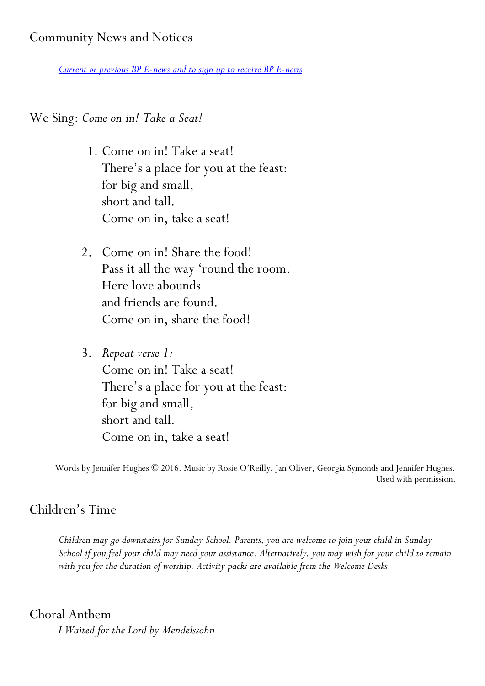#### Community News and Notices

*[Current or previous BP E-news and to sign up to receive BP E-news](https://us2.campaign-archive.com/home/?u=03755dba4c652dde00156d882&id=e949a6366c)*

We Sing: *Come on in! Take a Seat!*

- 1. Come on in! Take a seat! There's a place for you at the feast: for big and small, short and tall. Come on in, take a seat!
- 2. Come on in! Share the food! Pass it all the way 'round the room. Here love abounds and friends are found. Come on in, share the food!
- 3. *Repeat verse 1:*  Come on in! Take a seat! There's a place for you at the feast: for big and small, short and tall. Come on in, take a seat!

Words by Jennifer Hughes © 2016. Music by Rosie O'Reilly, Jan Oliver, Georgia Symonds and Jennifer Hughes. Used with permission.

#### Children's Time

*Children may go downstairs for Sunday School. Parents, you are welcome to join your child in Sunday School if you feel your child may need your assistance. Alternatively, you may wish for your child to remain with you for the duration of worship. Activity packs are available from the Welcome Desks.*

Choral Anthem

*I Waited for the Lord by Mendelssohn*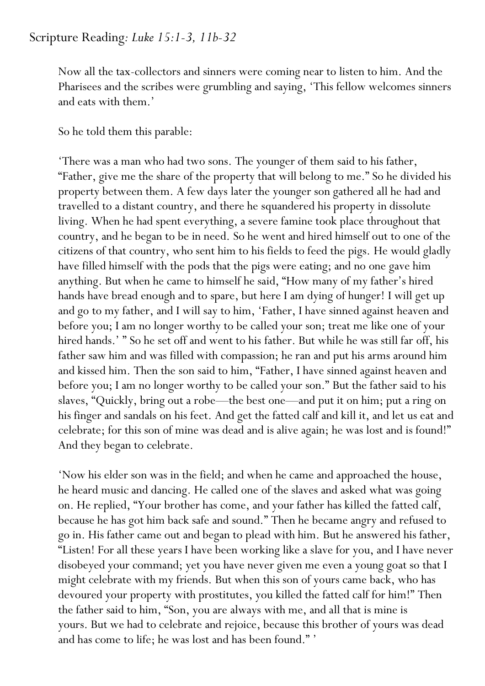Now all the tax-collectors and sinners were coming near to listen to him. And the Pharisees and the scribes were grumbling and saying, 'This fellow welcomes sinners and eats with them.'

So he told them this parable:

'There was a man who had two sons. The younger of them said to his father, "Father, give me the share of the property that will belong to me." So he divided his property between them. A few days later the younger son gathered all he had and travelled to a distant country, and there he squandered his property in dissolute living. When he had spent everything, a severe famine took place throughout that country, and he began to be in need. So he went and hired himself out to one of the citizens of that country, who sent him to his fields to feed the pigs. He would gladly have filled himself with the pods that the pigs were eating; and no one gave him anything. But when he came to himself he said, "How many of my father's hired hands have bread enough and to spare, but here I am dying of hunger! I will get up and go to my father, and I will say to him, 'Father, I have sinned against heaven and before you; I am no longer worthy to be called your son; treat me like one of your hired hands.' " So he set off and went to his father. But while he was still far off, his father saw him and was filled with compassion; he ran and put his arms around him and kissed him. Then the son said to him, "Father, I have sinned against heaven and before you; I am no longer worthy to be called your son." But the father said to his slaves, "Quickly, bring out a robe—the best one—and put it on him; put a ring on his finger and sandals on his feet. And get the fatted calf and kill it, and let us eat and celebrate; for this son of mine was dead and is alive again; he was lost and is found!" And they began to celebrate.

'Now his elder son was in the field; and when he came and approached the house, he heard music and dancing. He called one of the slaves and asked what was going on. He replied, "Your brother has come, and your father has killed the fatted calf, because he has got him back safe and sound." Then he became angry and refused to go in. His father came out and began to plead with him. But he answered his father, "Listen! For all these years I have been working like a slave for you, and I have never disobeyed your command; yet you have never given me even a young goat so that I might celebrate with my friends. But when this son of yours came back, who has devoured your property with prostitutes, you killed the fatted calf for him!" Then the father said to him, "Son, you are always with me, and all that is mine is yours. But we had to celebrate and rejoice, because this brother of yours was dead and has come to life; he was lost and has been found." '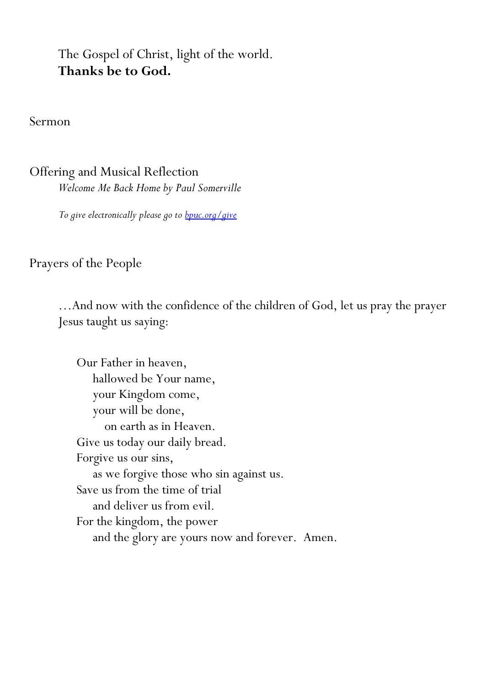The Gospel of Christ, light of the world. **Thanks be to God.** 

Sermon

Offering and Musical Reflection *Welcome Me Back Home by Paul Somerville*

*To give electronically please go to [bpuc.org/give](https://www.bpuc.org/give/)*

Prayers of the People

…And now with the confidence of the children of God, let us pray the prayer Jesus taught us saying:

Our Father in heaven, hallowed be Your name, your Kingdom come, your will be done, on earth as in Heaven. Give us today our daily bread. Forgive us our sins, as we forgive those who sin against us. Save us from the time of trial and deliver us from evil. For the kingdom, the power and the glory are yours now and forever. Amen.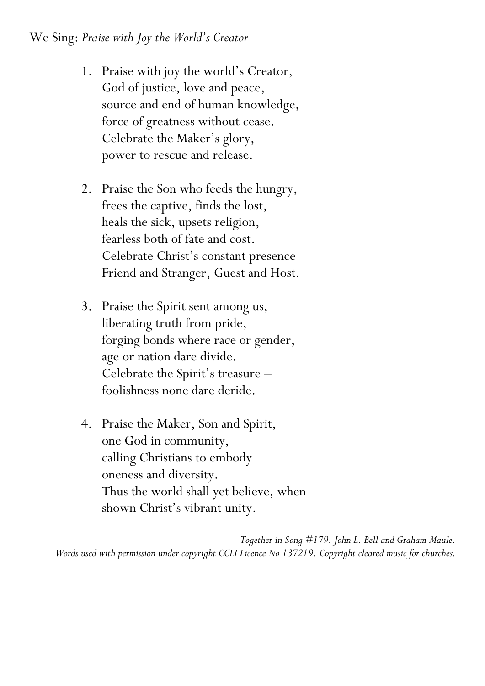#### We Sing: *Praise with Joy the World's Creator*

- 1. Praise with joy the world's Creator, God of justice, love and peace, source and end of human knowledge, force of greatness without cease. Celebrate the Maker's glory, power to rescue and release.
- 2. Praise the Son who feeds the hungry, frees the captive, finds the lost, heals the sick, upsets religion, fearless both of fate and cost. Celebrate Christ's constant presence – Friend and Stranger, Guest and Host.
- 3. Praise the Spirit sent among us, liberating truth from pride, forging bonds where race or gender, age or nation dare divide. Celebrate the Spirit's treasure – foolishness none dare deride.
- 4. Praise the Maker, Son and Spirit, one God in community, calling Christians to embody oneness and diversity. Thus the world shall yet believe, when shown Christ's vibrant unity.

*Together in Song #179. John L. Bell and Graham Maule. Words used with permission under copyright CCLI Licence No 137219. Copyright cleared music for churches.*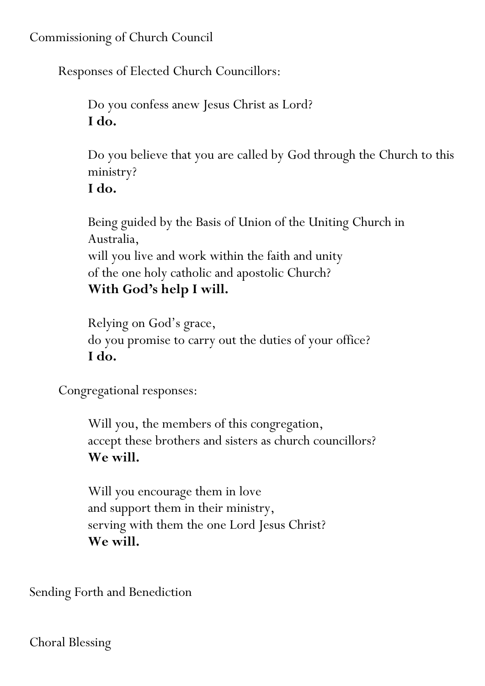### Commissioning of Church Council

Responses of Elected Church Councillors:

Do you confess anew Jesus Christ as Lord? **I do.**

Do you believe that you are called by God through the Church to this ministry? **I do.**

Being guided by the Basis of Union of the Uniting Church in Australia, will you live and work within the faith and unity of the one holy catholic and apostolic Church? **With God's help I will.**

Relying on God's grace, do you promise to carry out the duties of your office? **I do.**

Congregational responses:

Will you, the members of this congregation, accept these brothers and sisters as church councillors? **We will.**

Will you encourage them in love and support them in their ministry, serving with them the one Lord Jesus Christ? **We will.**

Sending Forth and Benediction

Choral Blessing